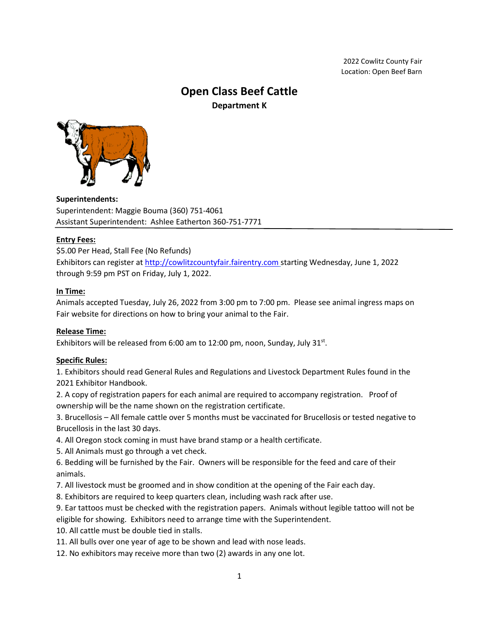2022 Cowlitz County Fair Location: Open Beef Barn

# **Open Class Beef Cattle Department K**



**Superintendents:**  Superintendent: Maggie Bouma (360) 751-4061 Assistant Superintendent: Ashlee Eatherton 360-751-7771

# **Entry Fees:**

\$5.00 Per Head, Stall Fee (No Refunds) Exhibitors can register at [http://cowlitzcountyfair.fairentry.com](http://cowlitzcountyfair.fairentry.com/) starting Wednesday, June 1, 2022 through 9:59 pm PST on Friday, July 1, 2022.

# **In Time:**

Animals accepted Tuesday, July 26, 2022 from 3:00 pm to 7:00 pm. Please see animal ingress maps on Fair website for directions on how to bring your animal to the Fair.

# **Release Time:**

Exhibitors will be released from 6:00 am to 12:00 pm, noon, Sunday, July 31 $st$ .

# **Specific Rules:**

1. Exhibitors should read General Rules and Regulations and Livestock Department Rules found in the 2021 Exhibitor Handbook.

2. A copy of registration papers for each animal are required to accompany registration. Proof of ownership will be the name shown on the registration certificate.

3. Brucellosis – All female cattle over 5 months must be vaccinated for Brucellosis or tested negative to Brucellosis in the last 30 days.

- 4. All Oregon stock coming in must have brand stamp or a health certificate.
- 5. All Animals must go through a vet check.

6. Bedding will be furnished by the Fair. Owners will be responsible for the feed and care of their animals.

7. All livestock must be groomed and in show condition at the opening of the Fair each day.

8. Exhibitors are required to keep quarters clean, including wash rack after use.

9. Ear tattoos must be checked with the registration papers. Animals without legible tattoo will not be eligible for showing. Exhibitors need to arrange time with the Superintendent.

10. All cattle must be double tied in stalls.

- 11. All bulls over one year of age to be shown and lead with nose leads.
- 12. No exhibitors may receive more than two (2) awards in any one lot.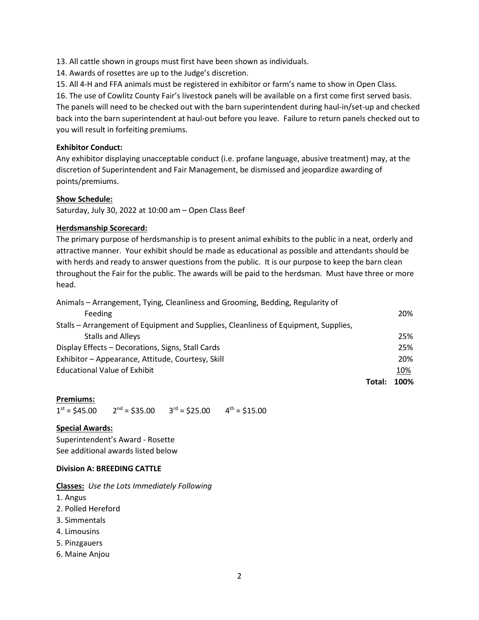13. All cattle shown in groups must first have been shown as individuals.

14. Awards of rosettes are up to the Judge's discretion.

15. All 4-H and FFA animals must be registered in exhibitor or farm's name to show in Open Class.

16. The use of Cowlitz County Fair's livestock panels will be available on a first come first served basis. The panels will need to be checked out with the barn superintendent during haul-in/set-up and checked back into the barn superintendent at haul-out before you leave. Failure to return panels checked out to you will result in forfeiting premiums.

## **Exhibitor Conduct:**

Any exhibitor displaying unacceptable conduct (i.e. profane language, abusive treatment) may, at the discretion of Superintendent and Fair Management, be dismissed and jeopardize awarding of points/premiums.

## **Show Schedule:**

Saturday, July 30, 2022 at 10:00 am – Open Class Beef

## **Herdsmanship Scorecard:**

The primary purpose of herdsmanship is to present animal exhibits to the public in a neat, orderly and attractive manner. Your exhibit should be made as educational as possible and attendants should be with herds and ready to answer questions from the public. It is our purpose to keep the barn clean throughout the Fair for the public. The awards will be paid to the herdsman. Must have three or more head.

| Animals - Arrangement, Tying, Cleanliness and Grooming, Bedding, Regularity of      |        |      |
|-------------------------------------------------------------------------------------|--------|------|
| Feeding                                                                             |        | 20%  |
| Stalls - Arrangement of Equipment and Supplies, Cleanliness of Equipment, Supplies, |        |      |
| <b>Stalls and Alleys</b>                                                            |        | 25%  |
| Display Effects - Decorations, Signs, Stall Cards                                   |        | 25%  |
| Exhibitor - Appearance, Attitude, Courtesy, Skill                                   |        | 20%  |
| <b>Educational Value of Exhibit</b>                                                 |        | 10%  |
|                                                                                     | Total: | 100% |

#### **Premiums:**

 $1<sup>st</sup> = $45.00$  2  $^{nd}$  = \$35.00 3<sup>rd</sup> = \$25.00 4<sup>th</sup> = \$15.00

#### **Special Awards:**

Superintendent's Award - Rosette See additional awards listed below

#### **Division A: BREEDING CATTLE**

**Classes:** *Use the Lots Immediately Following*

- 1. Angus
- 2. Polled Hereford
- 3. Simmentals
- 4. Limousins
- 5. Pinzgauers
- 6. Maine Anjou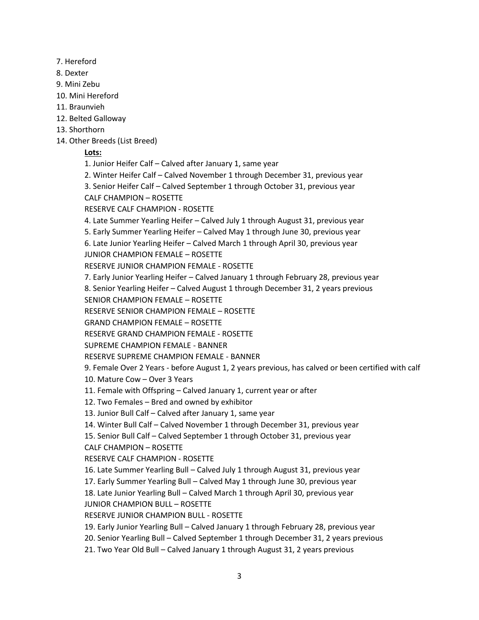- 7. Hereford
- 8. Dexter
- 9. Mini Zebu
- 10. Mini Hereford
- 11. Braunvieh
- 12. Belted Galloway
- 13. Shorthorn
- 14. Other Breeds (List Breed)

# **Lots:**

- 1. Junior Heifer Calf Calved after January 1, same year
- 2. Winter Heifer Calf Calved November 1 through December 31, previous year
- 3. Senior Heifer Calf Calved September 1 through October 31, previous year
- CALF CHAMPION ROSETTE
- RESERVE CALF CHAMPION ROSETTE
- 4. Late Summer Yearling Heifer Calved July 1 through August 31, previous year
- 5. Early Summer Yearling Heifer Calved May 1 through June 30, previous year
- 6. Late Junior Yearling Heifer Calved March 1 through April 30, previous year JUNIOR CHAMPION FEMALE – ROSETTE
- RESERVE JUNIOR CHAMPION FEMALE ROSETTE
- 7. Early Junior Yearling Heifer Calved January 1 through February 28, previous year
- 8. Senior Yearling Heifer Calved August 1 through December 31, 2 years previous
- SENIOR CHAMPION FEMALE ROSETTE
- RESERVE SENIOR CHAMPION FEMALE ROSETTE
- GRAND CHAMPION FEMALE ROSETTE
- RESERVE GRAND CHAMPION FEMALE ROSETTE
- SUPREME CHAMPION FEMALE BANNER
- RESERVE SUPREME CHAMPION FEMALE BANNER
- 9. Female Over 2 Years before August 1, 2 years previous, has calved or been certified with calf
- 10. Mature Cow Over 3 Years
- 11. Female with Offspring Calved January 1, current year or after
- 12. Two Females Bred and owned by exhibitor
- 13. Junior Bull Calf Calved after January 1, same year
- 14. Winter Bull Calf Calved November 1 through December 31, previous year
- 15. Senior Bull Calf Calved September 1 through October 31, previous year
- CALF CHAMPION ROSETTE
- RESERVE CALF CHAMPION ROSETTE
- 16. Late Summer Yearling Bull Calved July 1 through August 31, previous year
- 17. Early Summer Yearling Bull Calved May 1 through June 30, previous year
- 18. Late Junior Yearling Bull Calved March 1 through April 30, previous year
- JUNIOR CHAMPION BULL ROSETTE
- RESERVE JUNIOR CHAMPION BULL ROSETTE
- 19. Early Junior Yearling Bull Calved January 1 through February 28, previous year
- 20. Senior Yearling Bull Calved September 1 through December 31, 2 years previous
- 21. Two Year Old Bull Calved January 1 through August 31, 2 years previous